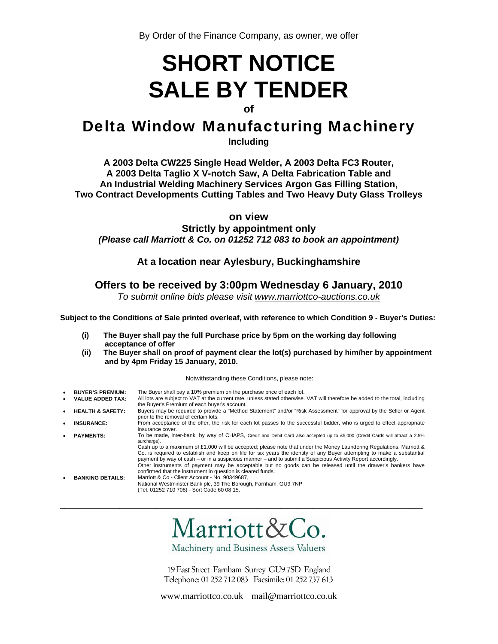# **SHORT NOTICE SALE BY TENDER**

# **of**

# Delta Window Manufacturing Machinery

**Including** 

**A 2003 Delta CW225 Single Head Welder, A 2003 Delta FC3 Router, A 2003 Delta Taglio X V-notch Saw, A Delta Fabrication Table and An Industrial Welding Machinery Services Argon Gas Filling Station, Two Contract Developments Cutting Tables and Two Heavy Duty Glass Trolleys** 

**on view**

**Strictly by appointment only**  *(Please call Marriott & Co. on 01252 712 083 to book an appointment)* 

# **At a location near Aylesbury, Buckinghamshire**

# **Offers to be received by 3:00pm Wednesday 6 January, 2010**

*To submit online bids please visit www.marriottco-auctions.co.uk*

**Subject to the Conditions of Sale printed overleaf, with reference to which Condition 9 - Buyer's Duties:** 

- **(i) The Buyer shall pay the full Purchase price by 5pm on the working day following acceptance of offer**
- **(ii) The Buyer shall on proof of payment clear the lot(s) purchased by him/her by appointment and by 4pm Friday 15 January, 2010.**

Notwithstanding these Conditions, please note:

**BUYER'S PREMIUM:** The Buyer shall pay a 10% premium on the purchase price of each lot.<br> **VALUE ADDED TAX:** All lots are subject to VAT at the current rate, unless stated otherwise. All lots are subject to VAT at the current rate, unless stated otherwise. VAT will therefore be added to the total, including the Buyer's Premium of each buyer's account. • **HEALTH & SAFETY:** Buyers may be required to provide a "Method Statement" and/or "Risk Assessment" for approval by the Seller or Agent prior to the removal of certain lots. **INSURANCE:** From acceptance of the offer, the risk for each lot passes to the successful bidder, who is urged to effect appropriate insurance cover. PAYMENTS: To be made, inter-bank, by way of CHAPS, Credit and Debit Card also accepted up to £5,000 (Credit Cards will attract a 2.5%) surcharge). Cash up to a maximum of £1,000 will be accepted; please note that under the Money Laundering Regulations, Marriott & Co. is required to establish and keep on file for six years the identity of any Buyer attempting to make a substantial payment by way of cash – or in a suspicious manner – and to submit a Suspicious Activity Report accordingly. Other instruments of payment may be acceptable but no goods can be released until the drawer's bankers have confirmed that the instrument in question is cleared funds. • **BANKING DETAILS:** Marriott & Co - Client Account - No. 90349687, National Westminster Bank plc, 39 The Borough, Farnham, GU9 7NP (Tel. 01252 710 708) - Sort Code 60 08 15.

Marriott&Co.

\_\_\_\_\_\_\_\_\_\_\_\_\_\_\_\_\_\_\_\_\_\_\_\_\_\_\_\_\_\_\_\_\_\_\_\_\_\_\_\_\_\_\_\_\_\_\_\_\_\_\_\_\_\_\_\_\_\_\_\_\_\_\_\_\_\_\_\_\_\_\_\_\_\_\_\_\_\_\_

Machinery and Business Assets Valuers

19 East Street Farnham Surrey GU97SD England Telephone: 01 252 712 083 Facsimile: 01 252 737 613

www.marriottco.co.uk mail@marriottco.co.uk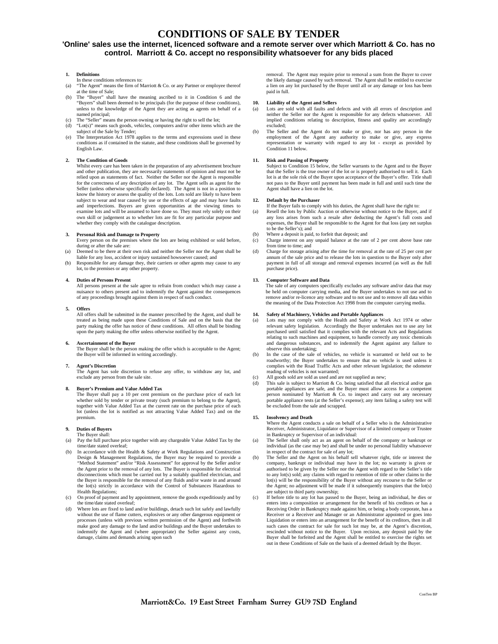# **CONDITIONS OF SALE BY TENDER**

# **'Online' sales use the internet, licenced software and a remote server over which Marriott & Co. has no control. Marriott & Co. accept no responsibility whatsoever for any bids placed**

### **1. Definitions**

- In these conditions references to:
- (a) "The Agent" means the firm of Marriott & Co. or any Partner or employee thereof at the time of Sale;
- (b) The "Buyer" shall have the meaning ascribed to it in Condition 6 and the "Buyers" shall been deemed to be principals (for the purpose of these conditions), unless to the knowledge of the Agent they are acting as agents on behalf of a named principal;
- The "Seller" means the person owning or having the right to sell the lot; (d) "Lot(s)" means such goods, vehicles, computers and/or other items which are the subject of the Sale by Tender;
- The Interpretation Act 1978 applies to the terms and expressions used in these conditions as if contained in the statute, and these conditions shall be governed by English Law.

#### **2. The Condition of Goods**

Whilst every care has been taken in the preparation of any advertisement brochure and other publication, they are necessarily statements of opinion and must not be relied upon as statements of fact. Neither the Seller nor the Agent is responsible for the correctness of any description of any lot. The Agent sells as agent for the Seller (unless otherwise specifically declared). The Agent is not in a position to know the history or assess the quality of the lots. Lots sold are likely to have been subject to wear and tear caused by use or the effects of age and may have faults and imperfections. Buyers are given opportunities at the viewing times to examine lots and will be assumed to have done so. They must rely solely on their own skill or judgement as to whether lots are fit for any particular purpose and whether they comply with the catalogue description.

#### **3. Personal Risk and Damage to Property**

- Every person on the premises where the lots are being exhibited or sold before, during or after the sale are: (a) Deemed to be there at their own risk and neither the Seller nor the Agent shall be
- liable for any loss, accident or injury sustained howsoever caused; and
- (b) Responsible for any damage they, their carriers or other agents may cause to any lot, to the premises or any other property.

#### **4. Duties of Persons Present**

All persons present at the sale agree to refrain from conduct which may cause a nuisance to others present and to indemnify the Agent against the consequences of any proceedings brought against them in respect of such conduct.

#### **5. Offers**

All offers shall be submitted in the manner prescribed by the Agent, and shall be treated as being made upon these Conditions of Sale and on the basis that the party making the offer has notice of these conditions. All offers shall be binding upon the party making the offer unless otherwise notified by the Agent.

#### **6. Ascertainment of the Buyer**

The Buyer shall be the person making the offer which is acceptable to the Agent; the Buyer will be informed in writing accordingly.

#### **7. Agent's Discretion**

The Agent has sole discretion to refuse any offer, to withdraw any lot, and exclude any person from the sale site.

#### **8. Buyer's Premium and Value Added Tax**

The Buyer shall pay a 10 per cent premium on the purchase price of each lot whether sold by tender or private treaty (such premium to belong to the Agent), together with Value Added Tax at the current rate on the purchase price of each lot (unless the lot is notified as not attracting Value Added Tax) and on the premium.

## **9. Duties of Buyers**

- The Buyer shall: (a) Pay the full purchase price together with any chargeable Value Added Tax by the time/date stated overleaf;
- (b) In accordance with the Health & Safety at Work Regulations and Construction<br>Design & Management Regulations, the Buyer may be required to provide a<br>"Method Statement" and/or "Risk Assessment" for approval by the Seller the Agent prior to the removal of any lots. The Buyer is responsible for electrical disconnections which must be carried out by a suitably qualified electrician, and the Buyer is responsible for the removal of any fluids and/or waste in and around the lot(s) strictly in accordance with the Control of Substances Hazardous to Health Regulations;
- (c) On proof of payment and by appointment, remove the goods expeditiously and by the time/date stated overleaf;
- Where lots are fixed to land and/or buildings, detach such lot safely and lawfully without the use of flame cutters, explosives or any other dangerous equipment or processes (unless with previous written permission of the Agent) and forthwith make good any damage to the land and/or buildings and the Buyer undertakes to indemnify the Agent and (where appropriate) the Seller against any costs, damage, claims and demands arising upon such

removal. The Agent may require prior to removal a sum from the Buyer to cover the likely damage caused by such removal. The Agent shall be entitled to exercise a lien on any lot purchased by the Buyer until all or any damage or loss has been paid in full.

#### **10. Liability of the Agent and Sellers**

- (a) Lots are sold with all faults and defects and with all errors of description and neither the Seller nor the Agent is responsible for any defects whatsoever. All implied conditions relating to description, fitness and quality are accordingly excluded;
- (b) The Seller and the Agent do not make or give, nor has any person in the employment of the Agent any authority to make or give, any express representation or warranty with regard to any lot - except as provided by Condition 11 below.

**11. Risk and Passing of Property**  Subject to Condition 15 below, the Seller warrants to the Agent and to the Buyer that the Seller is the true owner of the lot or is properly authorised to sell it. Each lot is at the sole risk of the Buyer upon acceptance of the Buyer's offer. Title shall not pass to the Buyer until payment has been made in full and until such time the Agent shall have a lien on the lot.

#### **12. Default by the Purchaser**

If the Buyer fails to comply with his duties, the Agent shall have the right to:

- (a) Resell the lots by Public Auction or otherwise without notice to the Buyer, and if any loss arises from such a resale after deducting the Agent's full costs and expenses, the Buyer shall be responsible to the Agent for that loss (any net surplus to be the Seller's); and
- (b) Where a deposit is paid, to forfeit that deposit; and
- (c) Charge interest on any unpaid balance at the rate of 2 per cent above base rate from time to time; and
- (d) Charge for storage arising after the time for removal at the rate of 25 per cent per annum of the sale price and to release the lots in question to the Buyer only after payment in full of all storage and removal expenses incurred (as well as the full purchase price).

#### **13. Computer Software and Data**

The sale of any computers specifically excludes any software and/or data that may be held on computer carrying media, and the Buyer undertakes to not use and to remove and/or re-licence any software and to not use and to remove all data within the meaning of the Data Protection Act 1998 from the computer carrying media.

- **14. Safety of Machinery, Vehicles and Portable Appliances**  (a) Lots may not comply with the Health and Safety at Work Act 1974 or other relevant safety legislation. Accordingly the Buyer undertakes not to use any lot purchased until satisfied that it complies with the relevant Acts and Regulations relating to such machines and equipment, to handle correctly any toxic chemicals and dangerous substances, and to indemnify the Agent against any failure to
- observe this undertaking; (b) In the case of the sale of vehicles, no vehicle is warranted or held out to be roadworthy; the Buyer undertakes to ensure that no vehicle is used unless it complies with the Road Traffic Acts and other relevant legislation; the odometer reading of vehicles is not warranted;
- All goods sold are sold as used and are not supplied as new;
- (d) This sale is subject to Marriott & Co. being satisfied that all electrical and/or gas portable appliances are safe, and the Buyer must allow access for a competent person nominated by Marriott & Co. to inspect and carry out any necessary portable appliance tests (at the Seller's expense); any item failing a safety test will be excluded from the sale and scrapped.

#### **15. Insolvency and Death**

Where the Agent conducts a sale on behalf of a Seller who is the Administrative Receiver, Administrator, Liquidator or Supervisor of a limited company or Trustee in Bankruptcy or Supervisor of an individual:

- (a) The Seller shall only act as an agent on behalf of the company or bankrupt or individual (as the case may be) and shall be under no personal liability whats in respect of the contract for sale of any lot; (b) The Seller and the Agent on his behalf sell whatever right, title or interest the
- company, bankrupt or individual may have in the lot; no warranty is given or authorised to be given by the Seller nor the Agent with regard to the Seller's title to any lot(s) sold; any claims with regard to retention of title or other claims to the lot(s) will be the responsibility of the Buyer without any recourse to the Seller or the Agent; no adjustment will be made if it subsequently transpires that the lot(s) are subject to third party ownership;
- (c) If before title to any lot has passed to the Buyer, being an individual, he dies or enters into a composition or arrangement for the benefit of his creditors or has a Receiving Order in Bankruptcy made against him, or being a body corporate, has a Receiver or a Receiver and Manager or an Administrator appointed or goes into Liquidation or enters into an arrangement for the benefit of its creditors, then in all such cases the contract for sale for such lot may be, at the Agent's discretion, rescinded without notice to the Buyer. Upon recision, any deposit paid by the Buyer shall be forfeited and the Agent shall be entitled to exercise the rights set out in these Conditions of Sale on the basis of a deemed default by the Buyer.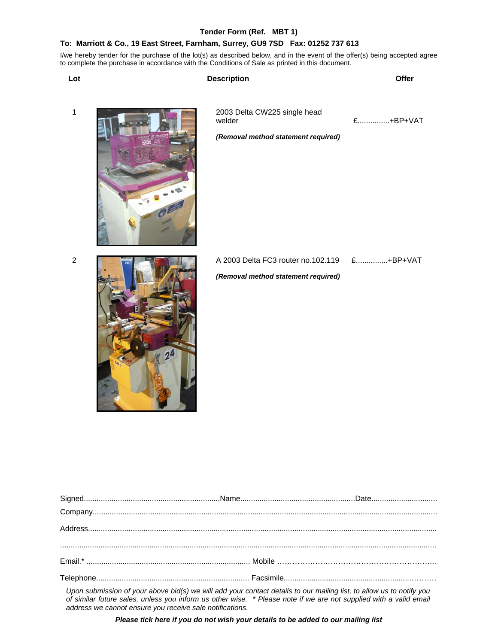# **Tender Form (Ref. MBT 1)**

# **To: Marriott & Co., 19 East Street, Farnham, Surrey, GU9 7SD Fax: 01252 737 613**

I/we hereby tender for the purchase of the lot(s) as described below, and in the event of the offer(s) being accepted agree to complete the purchase in accordance with the Conditions of Sale as printed in this document.

| Lot            | <b>Description</b>                                                            | Offer    |
|----------------|-------------------------------------------------------------------------------|----------|
| $\mathbf{1}$   | 2003 Delta CW225 single head<br>welder<br>(Removal method statement required) | £+BP+VAT |
| $\overline{c}$ | A 2003 Delta FC3 router no.102.119<br>(Removal method statement required)     | £+BP+VAT |

| Upon submission of your above bid(s) we will add your contact details to our mailing list to allow us to notify you |  |
|---------------------------------------------------------------------------------------------------------------------|--|

*Upon submission of your above bid(s) we will add your contact details to our mailing list, to allow us to notify you of similar future sales, unless you inform us other wise. \* Please note if we are not supplied with a valid email address we cannot ensure you receive sale notifications.* 

*Please tick here if you do not wish your details to be added to our mailing list*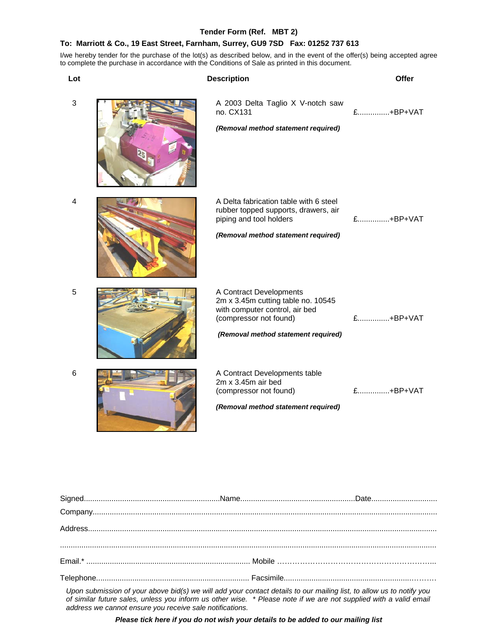# **Tender Form (Ref. MBT 2)**

# **To: Marriott & Co., 19 East Street, Farnham, Surrey, GU9 7SD Fax: 01252 737 613**

I/we hereby tender for the purchase of the lot(s) as described below, and in the event of the offer(s) being accepted agree to complete the purchase in accordance with the Conditions of Sale as printed in this document.

| Lot        | <b>Description</b>                                                                                                                                               | Offer    |
|------------|------------------------------------------------------------------------------------------------------------------------------------------------------------------|----------|
| 3          | A 2003 Delta Taglio X V-notch saw<br>no. CX131<br>(Removal method statement required)                                                                            | £+BP+VAT |
| 4          | A Delta fabrication table with 6 steel<br>rubber topped supports, drawers, air<br>piping and tool holders<br>(Removal method statement required)                 | £+BP+VAT |
| $\sqrt{5}$ | A Contract Developments<br>2m x 3.45m cutting table no. 10545<br>with computer control, air bed<br>(compressor not found)<br>(Removal method statement required) | £+BP+VAT |
| 6          | A Contract Developments table<br>2m x 3.45m air bed<br>(compressor not found)<br>(Removal method statement required)                                             | £+BP+VAT |

| $\textsf{Address}.\textcolor{red}{\textbf{11.11}}\textcolor{red}{\textbf{12.12}}\textcolor{red}{\textbf{13.13}}\textcolor{red}{\textbf{14.14}}\textcolor{red}{\textbf{15.14}}\textcolor{red}{\textbf{16.14}}\textcolor{red}{\textbf{17.14}}\textcolor{red}{\textbf{18.14}}\textcolor{red}{\textbf{19.14}}\textcolor{red}{\textbf{19.14}}\textcolor{red}{\textbf{19.14}}\textcolor{red}{\textbf{19.14}}\textcolor{red}{\textbf{19.14}}\textcolor{red}{$ |  |
|--------------------------------------------------------------------------------------------------------------------------------------------------------------------------------------------------------------------------------------------------------------------------------------------------------------------------------------------------------------------------------------------------------------------------------------------------------|--|
|                                                                                                                                                                                                                                                                                                                                                                                                                                                        |  |
|                                                                                                                                                                                                                                                                                                                                                                                                                                                        |  |
|                                                                                                                                                                                                                                                                                                                                                                                                                                                        |  |
| Upon submission of your above bid(s) we will add your contact details to our mailing list to allow us to notify you                                                                                                                                                                                                                                                                                                                                    |  |

*Upon submission of your above bid(s) we will add your contact details to our mailing list, to allow us to notify you of similar future sales, unless you inform us other wise. \* Please note if we are not supplied with a valid email address we cannot ensure you receive sale notifications.* 

*Please tick here if you do not wish your details to be added to our mailing list*